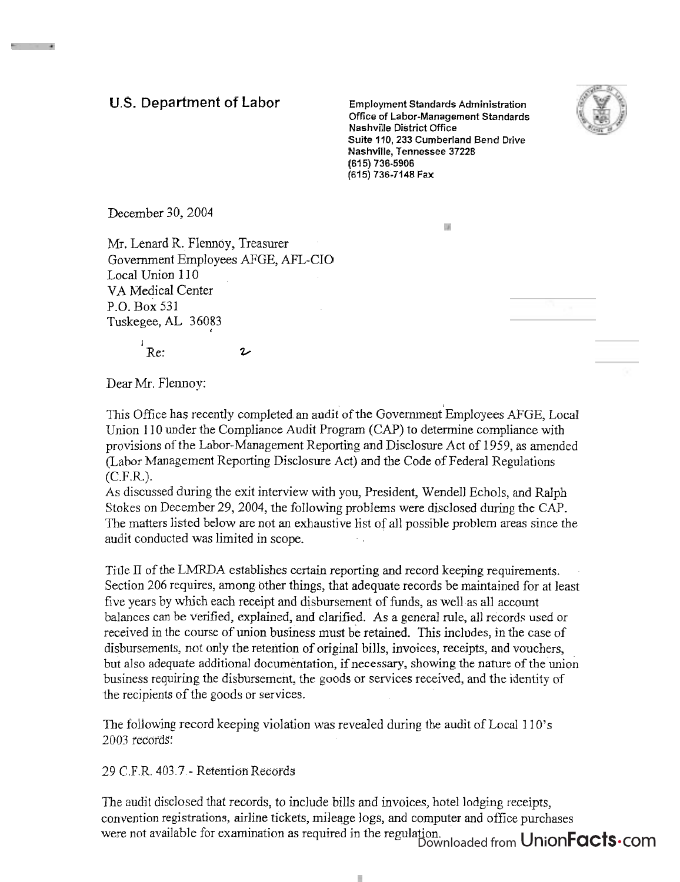## **U.S. Department** of Labor **Employment Standards Administration**

**Office of Labor-Management Standards Nashville District Office Suite 110, 233 Cumberland Bend Drive Nashville, Tennessee 37228 (61 5) 736-5906 (615) 736-7148 Fax** 



December 30,2004

. . .

Mr. Lenard R. Flennoy, Treasurer Government Employees AFGE, AFL-CIO Local Union 110 VA Medical Center P.O. Box 531 Tuskegee, AL 36083

 $R$ e:  $\boldsymbol{\nu}$ 

 $|J|$ 

Dear Mr. Flennoy:

This Office has recently completed an audit of the Government Employees AFGE, Local Union 110 under the Compliance Audit Program (CAP) to determine compliance with provisions of the Labor-Management Reporting and Disclosure Act of 1959, as amended (Labor Management Reporting Disclosure Act) and the Code of Federal Regulations (C.F.R.).

As discussed during the exit interview with you, President, Wendell Echols, and Ralph Stokes on December 29,2004, the following problems were disclosed during the CAP. The matters listed below are not an exhaustive list of all possible problem areas since the audit conducted was limited in scope.

Title 11 of the LMRDA establishes certain reporting and record keeping requirements. Section 206 requires, among other things, that adequate records be maintained for at least five years by which each receipt and disbursement of funds, as well as all account balances can be verified, explained, and clarified. As a general rule, all records used or received in the course of union business must be retained. This includes, in the case of disbursements, not only the retention of original bills, invoices, receipts, and vouchers, but also adequate additional documentation, if necessary, showing the nature of the union business requiring the disbursement, the goods or services received, and the identity of the recipients of the goods or services.

The following record keeping violation was revealed during the audit of Local 1 10's 2003 records:

29 C.F.R. 403.7 - Retention Records

The audit disclosed that records, to include bills and invoices, hotel lodging receipts, convention registrations, airline tickets, mileage logs, and computer and office purchases were not available for examination as required in the regulation. ujon.<br>Downloaded from UnionFacts.com